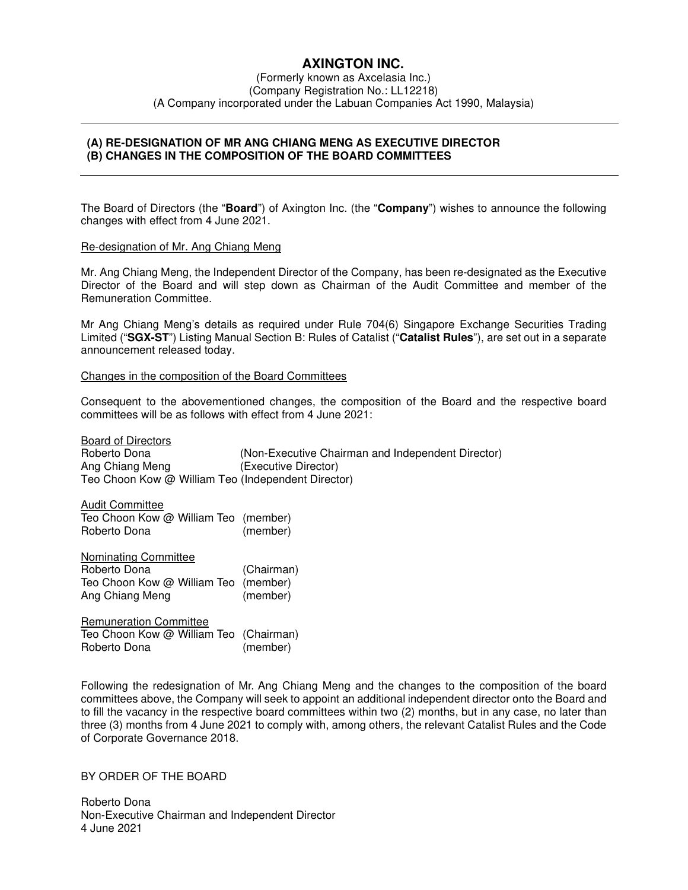# **AXINGTON INC.**

(Formerly known as Axcelasia Inc.) (Company Registration No.: LL12218) (A Company incorporated under the Labuan Companies Act 1990, Malaysia)

## **(A) RE-DESIGNATION OF MR ANG CHIANG MENG AS EXECUTIVE DIRECTOR (B) CHANGES IN THE COMPOSITION OF THE BOARD COMMITTEES**

The Board of Directors (the "**Board**") of Axington Inc. (the "**Company**") wishes to announce the following changes with effect from 4 June 2021.

#### Re-designation of Mr. Ang Chiang Meng

Mr. Ang Chiang Meng, the Independent Director of the Company, has been re-designated as the Executive Director of the Board and will step down as Chairman of the Audit Committee and member of the Remuneration Committee.

Mr Ang Chiang Meng's details as required under Rule 704(6) Singapore Exchange Securities Trading Limited ("**SGX-ST**") Listing Manual Section B: Rules of Catalist ("**Catalist Rules**"), are set out in a separate announcement released today.

#### Changes in the composition of the Board Committees

Consequent to the abovementioned changes, the composition of the Board and the respective board committees will be as follows with effect from 4 June 2021:

Board of Directors Roberto Dona (Non-Executive Chairman and Independent Director) Ang Chiang Meng (Executive Director) Teo Choon Kow @ William Teo (Independent Director)

Audit Committee Teo Choon Kow @ William Teo (member) Roberto Dona (member)

Nominating Committee Roberto Dona (Chairman) Teo Choon Kow @ William Teo (member) Ang Chiang Meng (member)

Remuneration Committee Teo Choon Kow @ William Teo (Chairman) Roberto Dona (member)

Following the redesignation of Mr. Ang Chiang Meng and the changes to the composition of the board committees above, the Company will seek to appoint an additional independent director onto the Board and to fill the vacancy in the respective board committees within two (2) months, but in any case, no later than three (3) months from 4 June 2021 to comply with, among others, the relevant Catalist Rules and the Code of Corporate Governance 2018.

### BY ORDER OF THE BOARD

Roberto Dona Non-Executive Chairman and Independent Director 4 June 2021